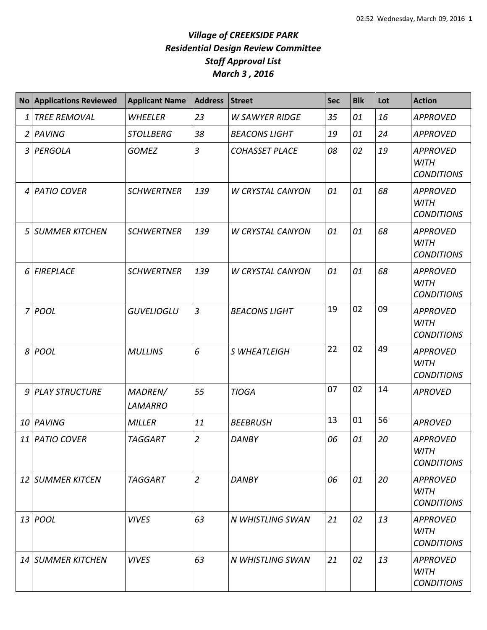## *Village of CREEKSIDE PARK Residential Design Review Committee Staff Approval List March 3 , 2016*

|                | No Applications Reviewed | <b>Applicant Name</b>     | <b>Address</b> | <b>Street</b>           | <b>Sec</b> | <b>Blk</b> | Lot | <b>Action</b>                                       |
|----------------|--------------------------|---------------------------|----------------|-------------------------|------------|------------|-----|-----------------------------------------------------|
| 1              | <b>TREE REMOVAL</b>      | WHEELER                   | 23             | <b>W SAWYER RIDGE</b>   | 35         | 01         | 16  | <b>APPROVED</b>                                     |
| $\overline{2}$ | PAVING                   | <b>STOLLBERG</b>          | 38             | <b>BEACONS LIGHT</b>    | 19         | 01         | 24  | <b>APPROVED</b>                                     |
|                | 3 PERGOLA                | <b>GOMEZ</b>              | $\overline{3}$ | <b>COHASSET PLACE</b>   | 08         | 02         | 19  | <b>APPROVED</b><br><b>WITH</b><br><b>CONDITIONS</b> |
|                | 4 PATIO COVER            | <b>SCHWERTNER</b>         | 139            | <b>W CRYSTAL CANYON</b> | 01         | 01         | 68  | <b>APPROVED</b><br><b>WITH</b><br><b>CONDITIONS</b> |
| 5              | SUMMER KITCHEN           | <b>SCHWERTNER</b>         | 139            | <b>W CRYSTAL CANYON</b> | 01         | 01         | 68  | <b>APPROVED</b><br><b>WITH</b><br><b>CONDITIONS</b> |
|                | 6 FIREPLACE              | <b>SCHWERTNER</b>         | 139            | <b>W CRYSTAL CANYON</b> | 01         | 01         | 68  | <b>APPROVED</b><br><b>WITH</b><br><b>CONDITIONS</b> |
|                | 7 POOL                   | <b>GUVELIOGLU</b>         | $\overline{3}$ | <b>BEACONS LIGHT</b>    | 19         | 02         | 09  | <b>APPROVED</b><br><b>WITH</b><br><b>CONDITIONS</b> |
|                | $8 $ POOL                | <b>MULLINS</b>            | 6              | S WHEATLEIGH            | 22         | 02         | 49  | <b>APPROVED</b><br><b>WITH</b><br><b>CONDITIONS</b> |
|                | 9 PLAY STRUCTURE         | MADREN/<br><b>LAMARRO</b> | 55             | <b>TIOGA</b>            | 07         | 02         | 14  | <b>APROVED</b>                                      |
| 10             | PAVING                   | <b>MILLER</b>             | 11             | <b>BEEBRUSH</b>         | 13         | 01         | 56  | <b>APROVED</b>                                      |
|                | 11 PATIO COVER           | <b>TAGGART</b>            | $\overline{2}$ | <b>DANBY</b>            | 06         | 01         | 20  | <b>APPROVED</b><br>WITH<br><b>CONDITIONS</b>        |
|                | 12 SUMMER KITCEN         | <b>TAGGART</b>            | $\overline{2}$ | <b>DANBY</b>            | 06         | 01         | 20  | <b>APPROVED</b><br><b>WITH</b><br><b>CONDITIONS</b> |
|                | 13 POOL                  | <b>VIVES</b>              | 63             | N WHISTLING SWAN        | 21         | 02         | 13  | <b>APPROVED</b><br><b>WITH</b><br><b>CONDITIONS</b> |
|                | 14 SUMMER KITCHEN        | <b>VIVES</b>              | 63             | N WHISTLING SWAN        | 21         | 02         | 13  | <b>APPROVED</b><br><b>WITH</b><br><b>CONDITIONS</b> |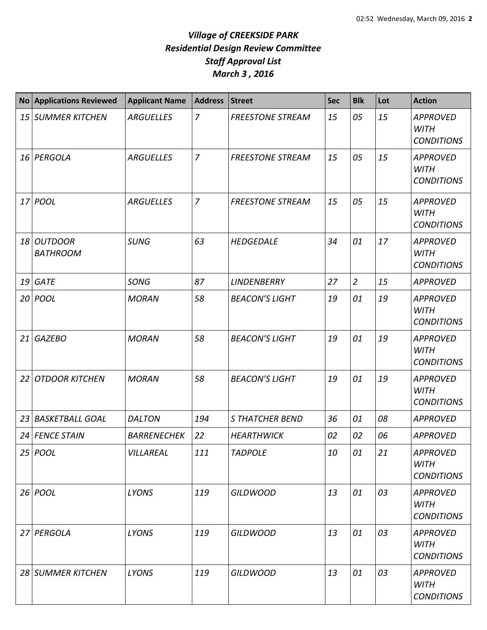## *Village of CREEKSIDE PARK Residential Design Review Committee Staff Approval List March 3 , 2016*

| <b>No</b>       | <b>Applications Reviewed</b>      | <b>Applicant Name</b> | <b>Address</b> | <b>Street</b>           | <b>Sec</b> | <b>Blk</b>     | Lot | <b>Action</b>                                       |
|-----------------|-----------------------------------|-----------------------|----------------|-------------------------|------------|----------------|-----|-----------------------------------------------------|
| 15 <sub>l</sub> | <b>SUMMER KITCHEN</b>             | <b>ARGUELLES</b>      | $\overline{z}$ | <b>FREESTONE STREAM</b> | 15         | 05             | 15  | <b>APPROVED</b><br><b>WITH</b><br><b>CONDITIONS</b> |
|                 | 16 PERGOLA                        | <b>ARGUELLES</b>      | $\overline{7}$ | <b>FREESTONE STREAM</b> | 15         | 05             | 15  | <b>APPROVED</b><br><b>WITH</b><br><b>CONDITIONS</b> |
|                 | 17 POOL                           | <b>ARGUELLES</b>      | $\overline{7}$ | <b>FREESTONE STREAM</b> | 15         | 05             | 15  | <b>APPROVED</b><br><b>WITH</b><br><b>CONDITIONS</b> |
| 18              | <b>OUTDOOR</b><br><b>BATHROOM</b> | <b>SUNG</b>           | 63             | <b>HEDGEDALE</b>        | 34         | 01             | 17  | <b>APPROVED</b><br><b>WITH</b><br><b>CONDITIONS</b> |
| 19              | <b>GATE</b>                       | <b>SONG</b>           | 87             | <b>LINDENBERRY</b>      | 27         | $\overline{2}$ | 15  | <b>APPROVED</b>                                     |
|                 | 20 POOL                           | <b>MORAN</b>          | 58             | <b>BEACON'S LIGHT</b>   | 19         | 01             | 19  | <b>APPROVED</b><br><b>WITH</b><br><b>CONDITIONS</b> |
| 21              | <b>GAZEBO</b>                     | <b>MORAN</b>          | 58             | <b>BEACON'S LIGHT</b>   | 19         | 01             | 19  | <b>APPROVED</b><br><b>WITH</b><br><b>CONDITIONS</b> |
| 22              | <b>OTDOOR KITCHEN</b>             | <b>MORAN</b>          | 58             | <b>BEACON'S LIGHT</b>   | 19         | 01             | 19  | <b>APPROVED</b><br><b>WITH</b><br><b>CONDITIONS</b> |
| 23              | <b>BASKETBALL GOAL</b>            | <b>DALTON</b>         | 194            | <b>S THATCHER BEND</b>  | 36         | 01             | 08  | <b>APPROVED</b>                                     |
| 24              | <b>FENCE STAIN</b>                | <b>BARRENECHEK</b>    | 22             | <b>HEARTHWICK</b>       | 02         | 02             | 06  | <b>APPROVED</b>                                     |
|                 | $25$ POOL                         | VILLAREAL             | 111            | <b>TADPOLE</b>          | 10         | 01             | 21  | <b>APPROVED</b><br><b>WITH</b><br><b>CONDITIONS</b> |
|                 | $26$ POOL                         | <b>LYONS</b>          | 119            | <b>GILDWOOD</b>         | 13         | 01             | 03  | <b>APPROVED</b><br><b>WITH</b><br><b>CONDITIONS</b> |
|                 | 27 PERGOLA                        | <b>LYONS</b>          | 119            | <b>GILDWOOD</b>         | 13         | 01             | 03  | <b>APPROVED</b><br><b>WITH</b><br><b>CONDITIONS</b> |
|                 | 28 SUMMER KITCHEN                 | <b>LYONS</b>          | 119            | <b>GILDWOOD</b>         | 13         | 01             | 03  | <b>APPROVED</b><br><b>WITH</b><br><b>CONDITIONS</b> |